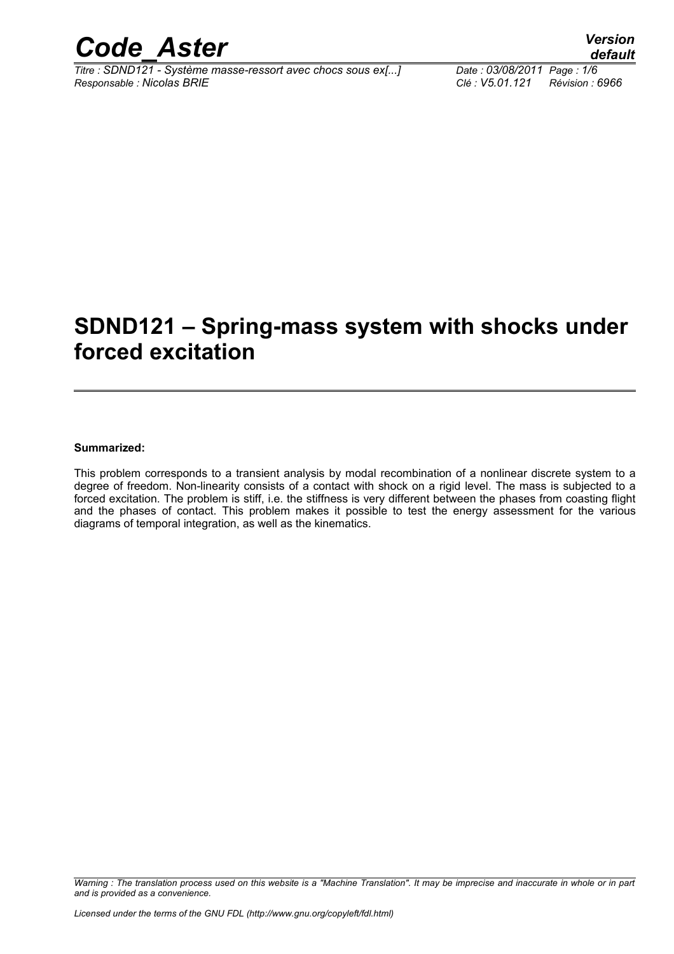

*Titre : SDND121 - Système masse-ressort avec chocs sous ex[...] Date : 03/08/2011 Page : 1/6 Responsable : Nicolas BRIE Clé : V5.01.121 Révision : 6966*

## **SDND121 – Spring-mass system with shocks under forced excitation**

#### **Summarized:**

This problem corresponds to a transient analysis by modal recombination of a nonlinear discrete system to a degree of freedom. Non-linearity consists of a contact with shock on a rigid level. The mass is subjected to a forced excitation. The problem is stiff, i.e. the stiffness is very different between the phases from coasting flight and the phases of contact. This problem makes it possible to test the energy assessment for the various diagrams of temporal integration, as well as the kinematics.

*Warning : The translation process used on this website is a "Machine Translation". It may be imprecise and inaccurate in whole or in part and is provided as a convenience.*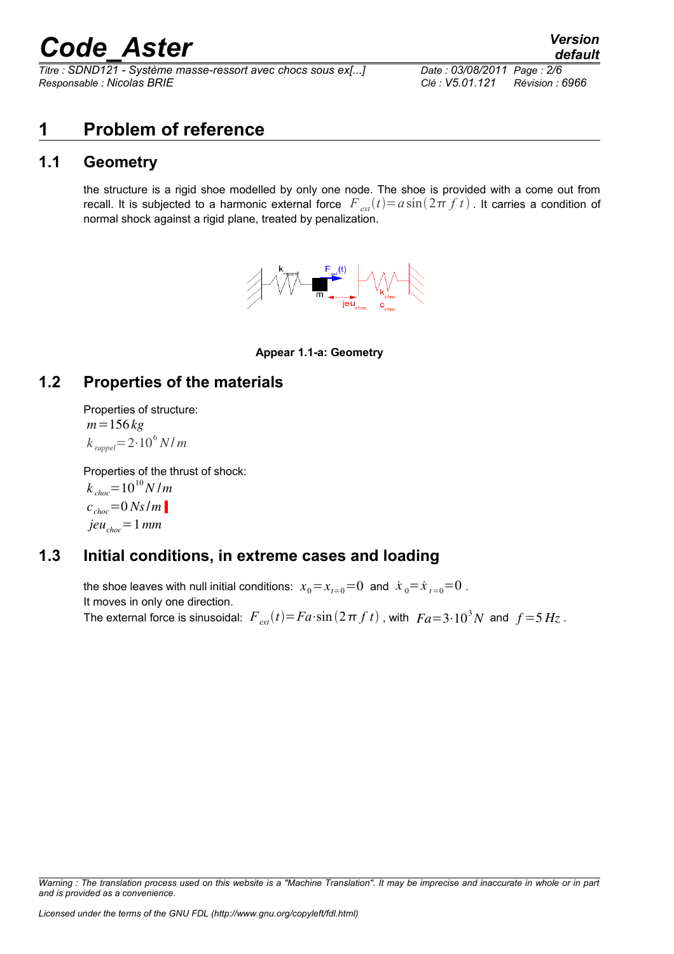*Titre : SDND121 - Système masse-ressort avec chocs sous ex[...] Date : 03/08/2011 Page : 2/6 Responsable : Nicolas BRIE Clé : V5.01.121 Révision : 6966*

## **1 Problem of reference**

### **1.1 Geometry**

the structure is a rigid shoe modelled by only one node. The shoe is provided with a come out from recall. It is subjected to a harmonic external force  $F_{ext}(t)=a\sin(2\pi f t)$ . It carries a condition of normal shock against a rigid plane, treated by penalization.



#### **Appear 1.1-a: Geometry**

### **1.2 Properties of the materials**

Properties of structure: *m*=156 *kg*  $k_{\text{rapped}} = 2 \cdot 10^6 \, \text{N/m}$ 

Properties of the thrust of shock:

 $k_{choc}$  = 10<sup>10</sup> *N* /*m*  $c_{\text{choc}} = 0$  *Ns*  $/m$  $jeu_{choc} = 1$  mm

### **1.3 Initial conditions, in extreme cases and loading**

the shoe leaves with null initial conditions:  $x_0 = x_{t=0} = 0$  and  $\dot{x}_0 = \dot{x}_{t=0} = 0$ . It moves in only one direction. The external force is sinusoidal:  $\,F_{\textit{ext}}(t)\!=\!Fa\!\cdot\!\sin\left(2\,\pi\,f\,t\right)$  , with  $\,Fa\!=\!3\!\cdot\!10^3N\,$  and  $\,f\!=\!5\,Hz$  .

*Warning : The translation process used on this website is a "Machine Translation". It may be imprecise and inaccurate in whole or in part and is provided as a convenience.*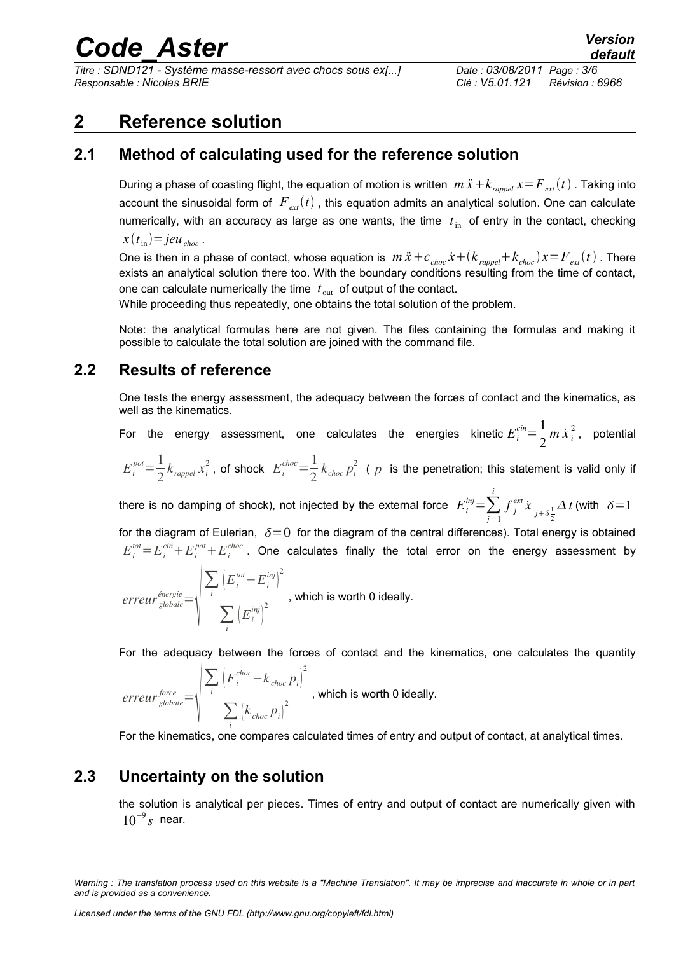*Titre : SDND121 - Système masse-ressort avec chocs sous ex[...] Date : 03/08/2011 Page : 3/6 Responsable : Nicolas BRIE Clé : V5.01.121 Révision : 6966*

### **2 Reference solution**

### **2.1 Method of calculating used for the reference solution**

During a phase of coasting flight, the equation of motion is written  $m\ddot{x}+k_{range}x=F_{ext}(t)$ . Taking into account the sinusoidal form of  $F_{ext}(t)$ , this equation admits an analytical solution. One can calculate numerically, with an accuracy as large as one wants, the time  $t_{\text{in}}$  of entry in the contact, checking  $x(t_{\text{in}})=jeu_{\text{choc}}$ .

One is then in a phase of contact, whose equation is  $m\ddot{x}+c_{choc}\dot{x}+(k_{\text{rapped}}+k_{\text{choc}})x=F_{ext}(t)$ . There exists an analytical solution there too. With the boundary conditions resulting from the time of contact, one can calculate numerically the time  $|t|_{\text{out}}$  of output of the contact.

While proceeding thus repeatedly, one obtains the total solution of the problem.

Note: the analytical formulas here are not given. The files containing the formulas and making it possible to calculate the total solution are joined with the command file.

### **2.2 Results of reference**

One tests the energy assessment, the adequacy between the forces of contact and the kinematics, as well as the kinematics.

For the energy assessment, one calculates the energies kinetic $E_i^{cin} = \frac{1}{2}$  $\frac{1}{2}m\,\dot{x}^{\,2}_{i}$ , potential

$$
E_i^{pot} = \frac{1}{2} k_{\text{rapped}} x_i^2
$$
, of shock  $E_i^{choc} = \frac{1}{2} k_{choc} p_i^2$  (*p* is the penetration; this statement is valid only if

there is no damping of shock), not injected by the external force  $|E_i^{inj}\!=\!\sum_{j=1}$ *i f j*  $\int_{j}^{ext} \dot{x}$ <sub> $j+\delta\frac{1}{2}$ </sub> 2  $\Delta t$  (with  $\delta=1$ 

for the diagram of Eulerian,  $\delta=0$  for the diagram of the central differences). Total energy is obtained  $E_i^{tot} = E_i^{cin} + E_i^{pot} + E_i^{choc}$ . One calculates finally the total error on the energy assessment by

$$
error_{\text{global}}^{\text{énergie}} = \sqrt{\frac{\sum_{i} \left( E_i^{\text{tot}} - E_i^{\text{inj}} \right)^2}{\sum_{i} \left( E_i^{\text{inj}} \right)^2}}, \text{ which is worth 0 ideally.}
$$

For the adequacy between the forces of contact and the kinematics, one calculates the quantity

$$
error_{\text{global}}^{force} = \sqrt{\frac{\sum_{i} \left( F_{i}^{choc} - k_{choc} p_{i} \right)^{2}}{\sum_{i} \left( k_{choc} p_{i} \right)^{2}}}, \text{ which is worth 0 ideally.}
$$

For the kinematics, one compares calculated times of entry and output of contact, at analytical times.

### **2.3 Uncertainty on the solution**

the solution is analytical per pieces. Times of entry and output of contact are numerically given with  $10^{-9}$ *s* near.

*Warning : The translation process used on this website is a "Machine Translation". It may be imprecise and inaccurate in whole or in part and is provided as a convenience.*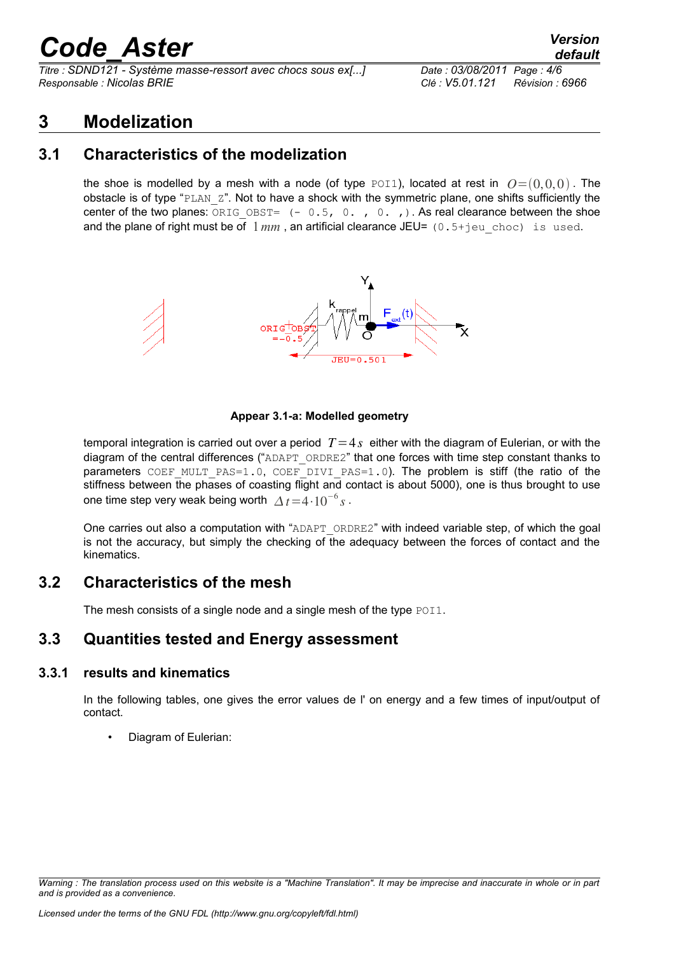*Titre : SDND121 - Système masse-ressort avec chocs sous ex[...] Date : 03/08/2011 Page : 4/6 Responsable : Nicolas BRIE Clé : V5.01.121 Révision : 6966*

### **3 Modelization**

### **3.1 Characteristics of the modelization**

the shoe is modelled by a mesh with a node (of type POI1), located at rest in  $Q=(0,0,0)$ . The obstacle is of type "PLAN Z". Not to have a shock with the symmetric plane, one shifts sufficiently the center of the two planes:  $ORIGOBST= (-0.5, 0. , 0. )$ . As real clearance between the shoe and the plane of right must be of  $1mm$ , an artificial clearance JEU=  $(0.5+)$ eu choc) is used.



#### **Appear 3.1-a: Modelled geometry**

temporal integration is carried out over a period  $T=4s$  either with the diagram of Eulerian, or with the diagram of the central differences ("ADAPT\_ORDRE2" that one forces with time step constant thanks to parameters COEF\_MULT\_PAS=1.0, COEF\_DIVI\_PAS=1.0). The problem is stiff (the ratio of the stiffness between the phases of coasting flight and contact is about 5000), one is thus brought to use one time step very weak being worth  $\Delta t = 4 \cdot 10^{-6} s$  .

One carries out also a computation with "ADAPT\_ORDRE2" with indeed variable step, of which the goal is not the accuracy, but simply the checking of the adequacy between the forces of contact and the kinematics.

### **3.2 Characteristics of the mesh**

The mesh consists of a single node and a single mesh of the type POI1.

### **3.3 Quantities tested and Energy assessment**

#### **3.3.1 results and kinematics**

In the following tables, one gives the error values de l' on energy and a few times of input/output of contact.

• Diagram of Eulerian:

*Warning : The translation process used on this website is a "Machine Translation". It may be imprecise and inaccurate in whole or in part and is provided as a convenience.*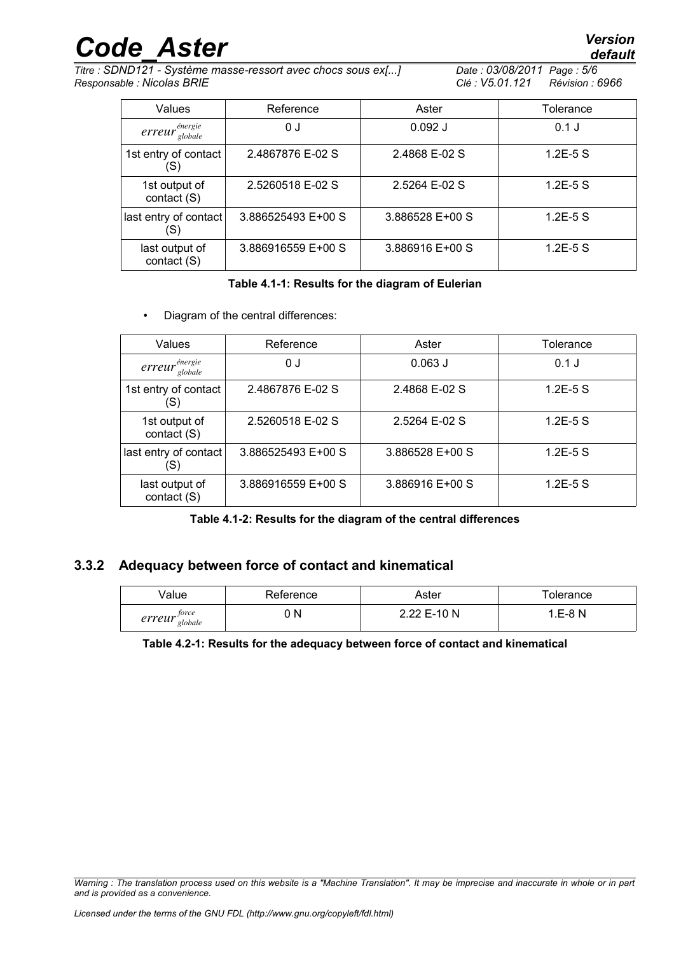*Titre : SDND121 - Système masse-ressort avec chocs sous ex[...] Date : 03/08/2011 Page : 5/6 Responsable : Nicolas BRIE Clé : V5.01.121 Révision : 6966*

| Values                        | Reference          | Aster           | Tolerance   |
|-------------------------------|--------------------|-----------------|-------------|
| $error_{globale}^{énergie}$   | 0 J                | $0.092$ J       | $0.1$ J     |
| 1st entry of contact<br>(S)   | 2.4867876 E-02 S   | 2.4868 E-02 S   | $1.2E-5S$   |
| 1st output of<br>contact (S)  | 2.5260518 E-02 S   | 2.5264 E-02 S   | $1.2E - 5S$ |
| last entry of contact<br>(S)  | 3.886525493 E+00 S | 3.886528 E+00 S | $1.2E-5S$   |
| last output of<br>contact (S) | 3.886916559 E+00 S | 3.886916 E+00 S | $1.2E-5S$   |

#### **Table 4.1-1: Results for the diagram of Eulerian**

• Diagram of the central differences:

| Values                        | Reference          | Aster           | Tolerance   |
|-------------------------------|--------------------|-----------------|-------------|
| $error_{global}^{énergie}$    | 0 J                | $0.063$ J       | $0.1$ J     |
| 1st entry of contact<br>(S)   | 2.4867876 E-02 S   | 2.4868 E-02 S   | $1.2E - 5S$ |
| 1st output of<br>contact (S)  | 2.5260518 E-02 S   | 2.5264 E-02 S   | $1.2E - 5S$ |
| last entry of contact<br>'S)  | 3.886525493 E+00 S | 3.886528 E+00 S | $1.2E - 5S$ |
| last output of<br>contact (S) | 3.886916559 E+00 S | 3.886916 E+00 S | $1.2E - 5S$ |

**Table 4.1-2: Results for the diagram of the central differences**

### **3.3.2 Adequacy between force of contact and kinematical**

| /alue                      | Reference | Aster       | olerance          |
|----------------------------|-----------|-------------|-------------------|
| force<br>erreur<br>globale | N         | 2.22 E-10 N | ∓-8 N<br><b>F</b> |

**Table 4.2-1: Results for the adequacy between force of contact and kinematical**

*Warning : The translation process used on this website is a "Machine Translation". It may be imprecise and inaccurate in whole or in part and is provided as a convenience.*